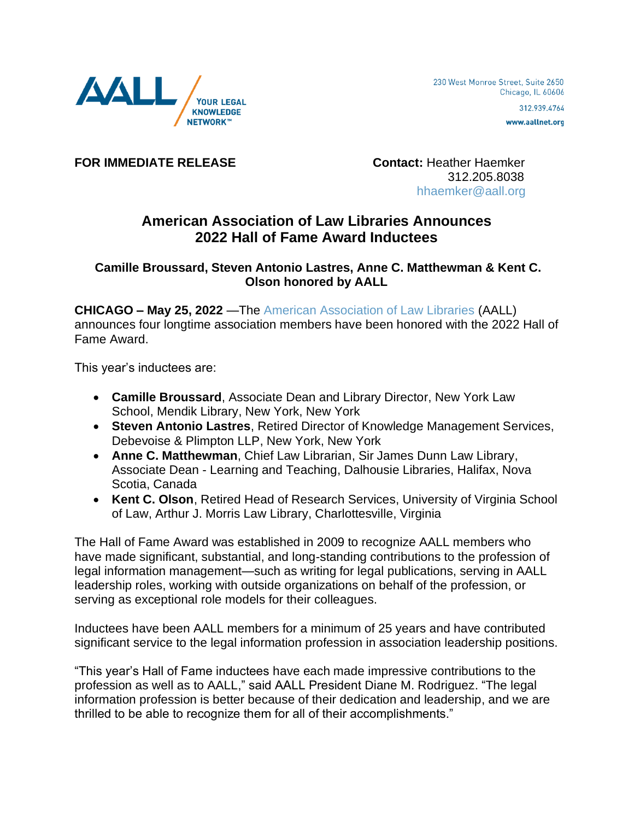

www.aallnet.org

**FOR IMMEDIATE RELEASE Contact:** Heather Haemker

 312.205.8038 [hhaemker@aall.org](mailto:hhaemker@aall.org)

## **American Association of Law Libraries Announces 2022 Hall of Fame Award Inductees**

## **Camille Broussard, Steven Antonio Lastres, Anne C. Matthewman & Kent C. Olson honored by AALL**

**CHICAGO – May 25, 2022** —The [American Association of Law Libraries](https://www.aallnet.org/) (AALL) announces four longtime association members have been honored with the 2022 Hall of Fame Award.

This year's inductees are:

- **Camille Broussard**, Associate Dean and Library Director, New York Law School, Mendik Library, New York, New York
- **Steven Antonio Lastres**, Retired Director of Knowledge Management Services, Debevoise & Plimpton LLP, New York, New York
- **Anne C. Matthewman**, Chief Law Librarian, Sir James Dunn Law Library, Associate Dean - Learning and Teaching, Dalhousie Libraries, Halifax, Nova Scotia, Canada
- **Kent C. Olson**, Retired Head of Research Services, University of Virginia School of Law, Arthur J. Morris Law Library, Charlottesville, Virginia

The Hall of Fame Award was established in 2009 to recognize AALL members who have made significant, substantial, and long-standing contributions to the profession of legal information management—such as writing for legal publications, serving in AALL leadership roles, working with outside organizations on behalf of the profession, or serving as exceptional role models for their colleagues.

Inductees have been AALL members for a minimum of 25 years and have contributed significant service to the legal information profession in association leadership positions.

"This year's Hall of Fame inductees have each made impressive contributions to the profession as well as to AALL," said AALL President Diane M. Rodriguez. "The legal information profession is better because of their dedication and leadership, and we are thrilled to be able to recognize them for all of their accomplishments."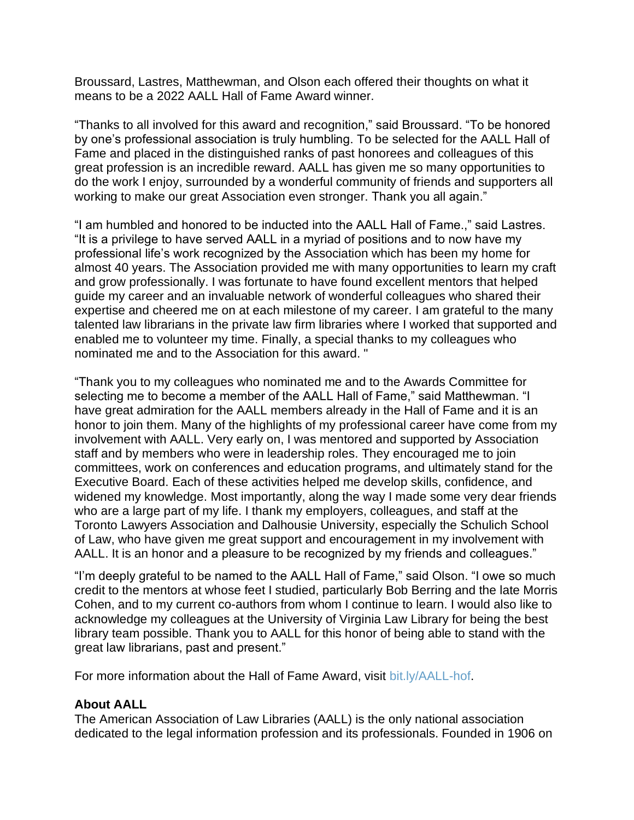Broussard, Lastres, Matthewman, and Olson each offered their thoughts on what it means to be a 2022 AALL Hall of Fame Award winner.

"Thanks to all involved for this award and recognition," said Broussard. "To be honored by one's professional association is truly humbling. To be selected for the AALL Hall of Fame and placed in the distinguished ranks of past honorees and colleagues of this great profession is an incredible reward. AALL has given me so many opportunities to do the work I enjoy, surrounded by a wonderful community of friends and supporters all working to make our great Association even stronger. Thank you all again."

"I am humbled and honored to be inducted into the AALL Hall of Fame.," said Lastres. "It is a privilege to have served AALL in a myriad of positions and to now have my professional life's work recognized by the Association which has been my home for almost 40 years. The Association provided me with many opportunities to learn my craft and grow professionally. I was fortunate to have found excellent mentors that helped guide my career and an invaluable network of wonderful colleagues who shared their expertise and cheered me on at each milestone of my career. I am grateful to the many talented law librarians in the private law firm libraries where I worked that supported and enabled me to volunteer my time. Finally, a special thanks to my colleagues who nominated me and to the Association for this award. "

"Thank you to my colleagues who nominated me and to the Awards Committee for selecting me to become a member of the AALL Hall of Fame," said Matthewman. "I have great admiration for the AALL members already in the Hall of Fame and it is an honor to join them. Many of the highlights of my professional career have come from my involvement with AALL. Very early on, I was mentored and supported by Association staff and by members who were in leadership roles. They encouraged me to join committees, work on conferences and education programs, and ultimately stand for the Executive Board. Each of these activities helped me develop skills, confidence, and widened my knowledge. Most importantly, along the way I made some very dear friends who are a large part of my life. I thank my employers, colleagues, and staff at the Toronto Lawyers Association and Dalhousie University, especially the Schulich School of Law, who have given me great support and encouragement in my involvement with AALL. It is an honor and a pleasure to be recognized by my friends and colleagues."

"I'm deeply grateful to be named to the AALL Hall of Fame," said Olson. "I owe so much credit to the mentors at whose feet I studied, particularly Bob Berring and the late Morris Cohen, and to my current co-authors from whom I continue to learn. I would also like to acknowledge my colleagues at the University of Virginia Law Library for being the best library team possible. Thank you to AALL for this honor of being able to stand with the great law librarians, past and present."

For more information about the Hall of Fame Award, visit [bit.ly/AALL-hof.](https://bit.ly/AALL-hof)

## **About AALL**

The American Association of Law Libraries (AALL) is the only national association dedicated to the legal information profession and its professionals. Founded in 1906 on